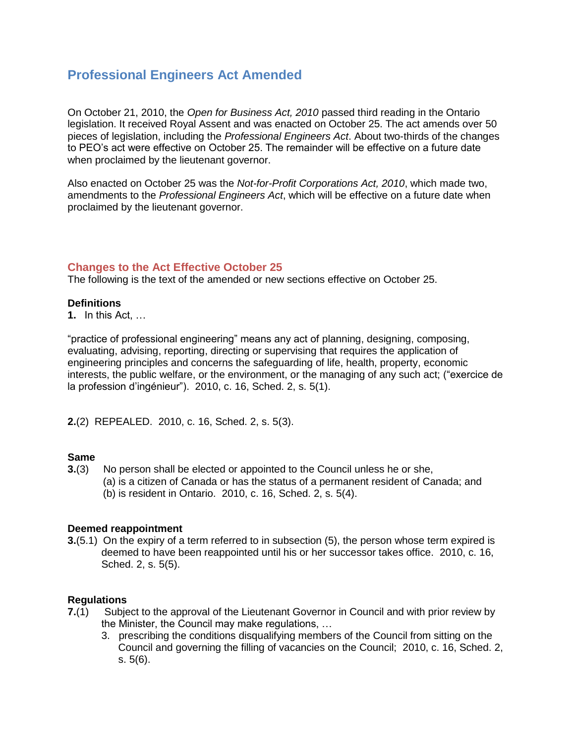# **Professional Engineers Act Amended**

On October 21, 2010, the *Open for Business Act, 2010* passed third reading in the Ontario legislation. It received Royal Assent and was enacted on October 25. The act amends over 50 pieces of legislation, including the *Professional Engineers Act*. About two-thirds of the changes to PEO's act were effective on October 25. The remainder will be effective on a future date when proclaimed by the lieutenant governor.

Also enacted on October 25 was the *Not-for-Profit Corporations Act, 2010*, which made two, amendments to the *Professional Engineers Act*, which will be effective on a future date when proclaimed by the lieutenant governor.

# **Changes to the Act Effective October 25**

The following is the text of the amended or new sections effective on October 25.

### **Definitions**

**1.** In this Act, …

"practice of professional engineering" means any act of planning, designing, composing, evaluating, advising, reporting, directing or supervising that requires the application of engineering principles and concerns the safeguarding of life, health, property, economic interests, the public welfare, or the environment, or the managing of any such act; ("exercice de la profession d'ingénieur"). 2010, c. 16, Sched. 2, s. 5(1).

**2.**(2) REPEALED. 2010, c. 16, Sched. 2, s. 5(3).

# **Same**

- **3.**(3) No person shall be elected or appointed to the Council unless he or she,
	- (a) is a citizen of Canada or has the status of a permanent resident of Canada; and (b) is resident in Ontario. 2010, c. 16, Sched. 2, s. 5(4).

#### **Deemed reappointment**

**3.**(5.1) On the expiry of a term referred to in subsection (5), the person whose term expired is deemed to have been reappointed until his or her successor takes office. 2010, c. 16, Sched. 2, s. 5(5).

# **Regulations**

- **7.**[\(1\)](http://www.e-laws.gov.on.ca/html/statutes/french/elaws_statutes_90p28_f.htm#s7s1) Subject to the approval of the Lieutenant Governor in Council and with prior review by the Minister, the Council may make regulations, …
	- 3. prescribing the conditions disqualifying members of the Council from sitting on the Council and governing the filling of vacancies on the Council; 2010, c. 16, Sched. 2, s. 5(6).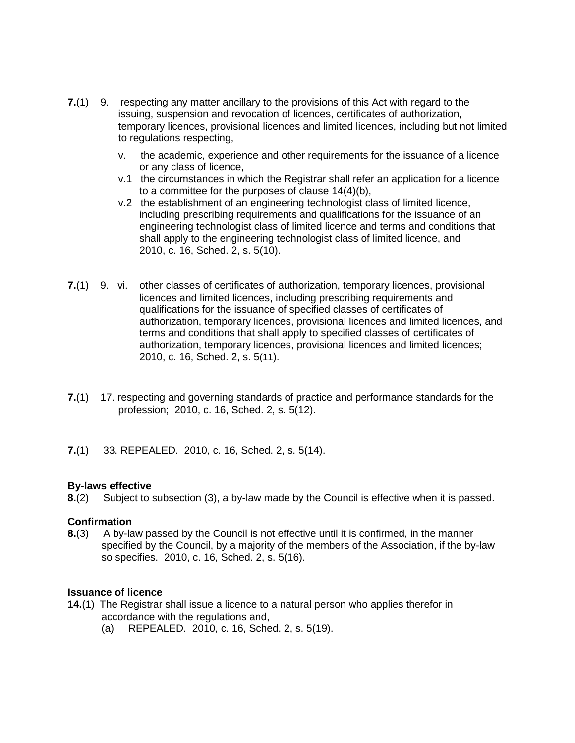- **7.**(1) 9. respecting any matter ancillary to the provisions of this Act with regard to the issuing, suspension and revocation of licences, certificates of authorization, temporary licences, provisional licences and limited licences, including but not limited to regulations respecting,
	- v. the academic, experience and other requirements for the issuance of a licence or any class of licence,
	- v.1 the circumstances in which the Registrar shall refer an application for a licence to a committee for the purposes of clause 14(4)(b),
	- v.2 the establishment of an engineering technologist class of limited licence, including prescribing requirements and qualifications for the issuance of an engineering technologist class of limited licence and terms and conditions that shall apply to the engineering technologist class of limited licence, and 2010, c. 16, Sched. 2, s. 5(10).
- **7.**(1) 9. vi. other classes of certificates of authorization, temporary licences, provisional licences and limited licences, including prescribing requirements and qualifications for the issuance of specified classes of certificates of authorization, temporary licences, provisional licences and limited licences, and terms and conditions that shall apply to specified classes of certificates of authorization, temporary licences, provisional licences and limited licences; 2010, c. 16, Sched. 2, s. 5(11).
- **7.**(1) 17. respecting and governing standards of practice and performance standards for the profession; 2010, c. 16, Sched. 2, s. 5(12).
- **7.**(1) 33. REPEALED. 2010, c. 16, Sched. 2, s. 5(14).

#### **By-laws effective**

**8.**[\(2\)](http://www.e-laws.gov.on.ca/html/statutes/french/elaws_statutes_90p28_f.htm#s8s2) Subject to subsection (3), a by-law made by the Council is effective when it is passed.

#### **Confirmation**

**8.**[\(3\)](http://www.e-laws.gov.on.ca/html/statutes/french/elaws_statutes_90p28_f.htm#s8s3) A by-law passed by the Council is not effective until it is confirmed, in the manner specified by the Council, by a majority of the members of the Association, if the by-law so specifies. 2010, c. 16, Sched. 2, s. 5(16).

#### **Issuance of licence**

- **[14.](http://www.e-laws.gov.on.ca/html/statutes/french/elaws_statutes_90p28_f.htm#s14s1)**(1) The Registrar shall issue a licence to a natural person who applies therefor in accordance with the regulations and,
	- (a) REPEALED. 2010, c. 16, Sched. 2, s. 5(19).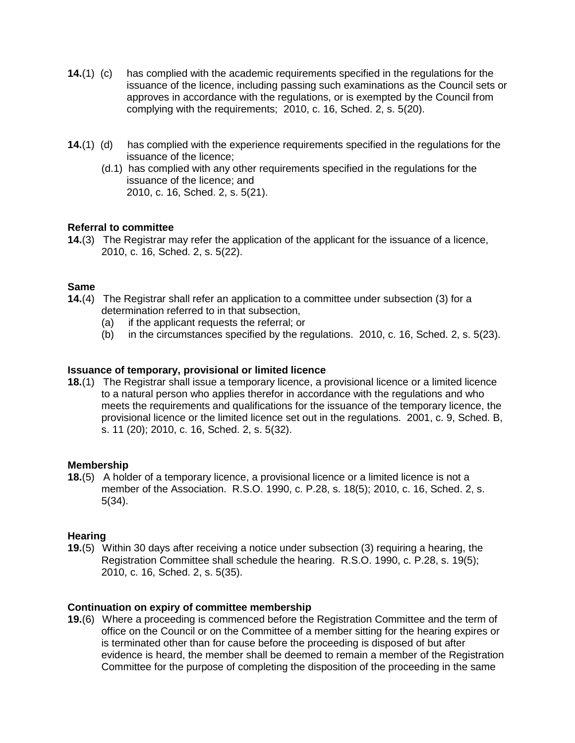- **14.**(1) (c) has complied with the academic requirements specified in the regulations for the issuance of the licence, including passing such examinations as the Council sets or approves in accordance with the regulations, or is exempted by the Council from complying with the requirements; 2010, c. 16, Sched. 2, s. 5(20).
- **14.**(1) (d) has complied with the experience requirements specified in the regulations for the issuance of the licence;
	- (d.1) has complied with any other requirements specified in the regulations for the issuance of the licence; and 2010, c. 16, Sched. 2, s. 5(21).

### **Referral to committee**

**14.**(3) The Registrar may refer the application of the applicant for the issuance of a licence, 2010, c. 16, Sched. 2, s. 5(22).

### **Same**

- **14.**(4) The Registrar shall refer an application to a committee under subsection (3) for a determination referred to in that subsection,
	- (a) if the applicant requests the referral; or
	- (b) in the circumstances specified by the regulations. 2010, c. 16, Sched. 2, s. 5(23).

### **Issuance of temporary, provisional or limited licence**

**18.**[\(1\)](http://www.e-laws.gov.on.ca/html/statutes/french/elaws_statutes_90p28_f.htm#s18s1) The Registrar shall issue a temporary licence, a provisional licence or a limited licence to a natural person who applies therefor in accordance with the regulations and who meets the requirements and qualifications for the issuance of the temporary licence, the provisional licence or the limited licence set out in the regulations. 2001, c. 9, Sched. B, s. 11 (20); 2010, c. 16, Sched. 2, s. 5(32).

#### **Membership**

**18.**[\(5\)](http://www.e-laws.gov.on.ca/html/statutes/french/elaws_statutes_90p28_f.htm#s18s5) A holder of a temporary licence, a provisional licence or a limited licence is not a member of the Association. R.S.O. 1990, c. P.28, s. 18(5); 2010, c. 16, Sched. 2, s. 5(34).

#### **Hearing**

**19.**[\(5\)](http://www.e-laws.gov.on.ca/html/statutes/french/elaws_statutes_90p28_f.htm#s19s5) Within 30 days after receiving a notice under subsection (3) requiring a hearing, the Registration Committee shall schedule the hearing. R.S.O. 1990, c. P.28, s. 19(5); 2010, c. 16, Sched. 2, s. 5(35).

#### **Continuation on expiry of committee membership**

**19.**[\(6\)](http://www.e-laws.gov.on.ca/html/statutes/french/elaws_statutes_90p28_f.htm#s19s6) Where a proceeding is commenced before the Registration Committee and the term of office on the Council or on the Committee of a member sitting for the hearing expires or is terminated other than for cause before the proceeding is disposed of but after evidence is heard, the member shall be deemed to remain a member of the Registration Committee for the purpose of completing the disposition of the proceeding in the same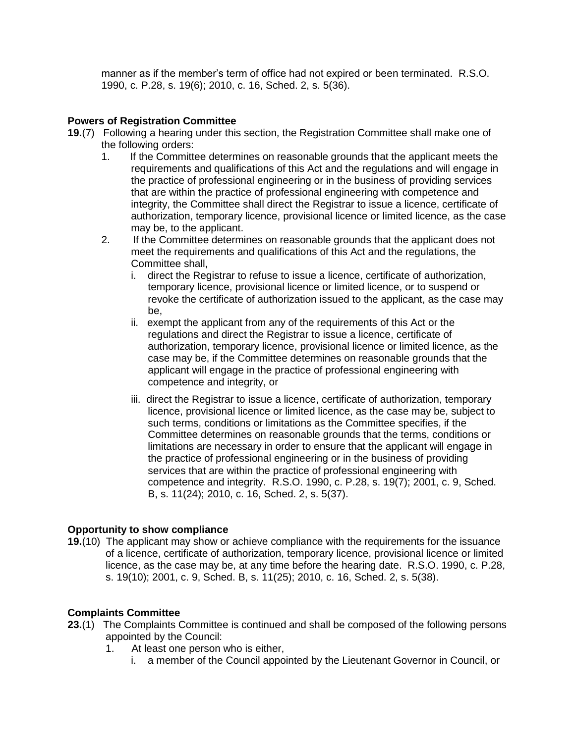manner as if the member's term of office had not expired or been terminated. R.S.O. 1990, c. P.28, s. 19(6); 2010, c. 16, Sched. 2, s. 5(36).

### **Powers of Registration Committee**

- **19.**(7) Following a hearing under this section, the Registration Committee shall make one of the following orders:
	- 1. If the Committee determines on reasonable grounds that the applicant meets the requirements and qualifications of this Act and the regulations and will engage in the practice of professional engineering or in the business of providing services that are within the practice of professional engineering with competence and integrity, the Committee shall direct the Registrar to issue a licence, certificate of authorization, temporary licence, provisional licence or limited licence, as the case may be, to the applicant.
	- 2. If the Committee determines on reasonable grounds that the applicant does not meet the requirements and qualifications of this Act and the regulations, the Committee shall,
		- i. direct the Registrar to refuse to issue a licence, certificate of authorization, temporary licence, provisional licence or limited licence, or to suspend or revoke the certificate of authorization issued to the applicant, as the case may be,
		- ii. exempt the applicant from any of the requirements of this Act or the regulations and direct the Registrar to issue a licence, certificate of authorization, temporary licence, provisional licence or limited licence, as the case may be, if the Committee determines on reasonable grounds that the applicant will engage in the practice of professional engineering with competence and integrity, or
		- iii. direct the Registrar to issue a licence, certificate of authorization, temporary licence, provisional licence or limited licence, as the case may be, subject to such terms, conditions or limitations as the Committee specifies, if the Committee determines on reasonable grounds that the terms, conditions or limitations are necessary in order to ensure that the applicant will engage in the practice of professional engineering or in the business of providing services that are within the practice of professional engineering with competence and integrity. R.S.O. 1990, c. P.28, s. 19(7); 2001, c. 9, Sched. B, s. 11(24); 2010, c. 16, Sched. 2, s. 5(37).

# **Opportunity to show compliance**

**19.**(10) The applicant may show or achieve compliance with the requirements for the issuance of a licence, certificate of authorization, temporary licence, provisional licence or limited licence, as the case may be, at any time before the hearing date. R.S.O. 1990, c. P.28, s. 19(10); 2001, c. 9, Sched. B, s. 11(25); 2010, c. 16, Sched. 2, s. 5(38).

#### **Complaints Committee**

- **23.**(1) The Complaints Committee is continued and shall be composed of the following persons appointed by the Council:
	- 1. At least one person who is either,
		- i. a member of the Council appointed by the Lieutenant Governor in Council, or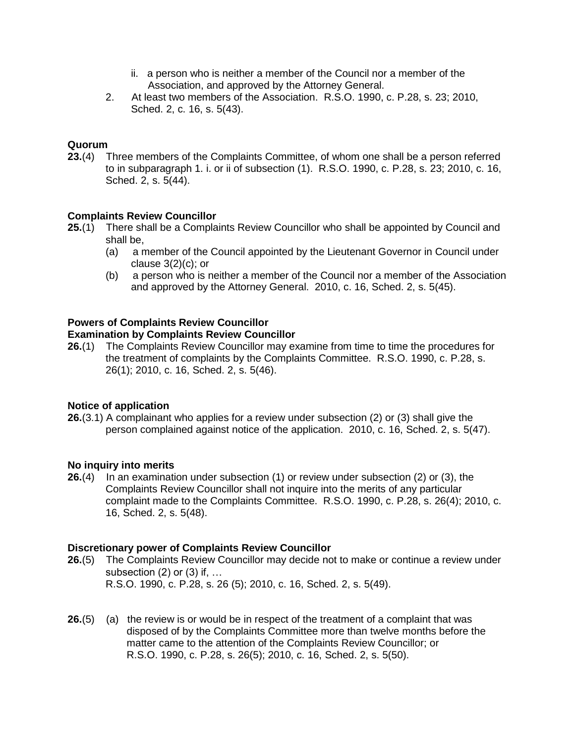- ii. a person who is neither a member of the Council nor a member of the Association, and approved by the Attorney General.
- 2. At least two members of the Association. R.S.O. 1990, c. P.28, s. 23; 2010, Sched. 2, c. 16, s. 5(43).

# **Quorum**

**23.**[\(4\)](http://www.e-laws.gov.on.ca/html/statutes/french/elaws_statutes_90p28_f.htm#s23s4) Three members of the Complaints Committee, of whom one shall be a person referred to in subparagraph 1. i. or ii of subsection (1). R.S.O. 1990, c. P.28, s. 23; 2010, c. 16, Sched. 2, s. 5(44).

# **Complaints Review Councillor**

- **25.**[\(1\)](http://www.e-laws.gov.on.ca/html/statutes/french/elaws_statutes_90p28_f.htm#s25s1) There shall be a Complaints Review Councillor who shall be appointed by Council and shall be,
	- (a) a member of the Council appointed by the Lieutenant Governor in Council under clause  $3(2)(c)$ ; or
	- (b) a person who is neither a member of the Council nor a member of the Association and approved by the Attorney General. 2010, c. 16, Sched. 2, s. 5(45).

# **Powers of Complaints Review Councillor**

#### **Examination by Complaints Review Councillor**

**26.**[\(1\)](http://www.e-laws.gov.on.ca/html/statutes/french/elaws_statutes_90p28_f.htm#s26s1) The Complaints Review Councillor may examine from time to time the procedures for the treatment of complaints by the Complaints Committee. R.S.O. 1990, c. P.28, s. 26(1); 2010, c. 16, Sched. 2, s. 5(46).

#### **Notice of application**

**26.**(3.1) A complainant who applies for a review under subsection (2) or (3) shall give the person complained against notice of the application. 2010, c. 16, Sched. 2, s. 5(47).

#### **No inquiry into merits**

**26.**[\(4\)](http://www.e-laws.gov.on.ca/html/statutes/french/elaws_statutes_90p28_f.htm#s26s4) In an examination under subsection (1) or review under subsection (2) or (3), the Complaints Review Councillor shall not inquire into the merits of any particular complaint made to the Complaints Committee. R.S.O. 1990, c. P.28, s. 26(4); 2010, c. 16, Sched. 2, s. 5(48).

#### **Discretionary power of Complaints Review Councillor**

- **26.**[\(5\)](http://www.e-laws.gov.on.ca/html/statutes/french/elaws_statutes_90p28_f.htm#s26s5) The Complaints Review Councillor may decide not to make or continue a review under subsection  $(2)$  or  $(3)$  if, ... R.S.O. 1990, c. P.28, s. 26 (5); 2010, c. 16, Sched. 2, s. 5(49).
- **26.**(5) (a) the review is or would be in respect of the treatment of a complaint that was disposed of by the Complaints Committee more than twelve months before the matter came to the attention of the Complaints Review Councillor; or R.S.O. 1990, c. P.28, s. 26(5); 2010, c. 16, Sched. 2, s. 5(50).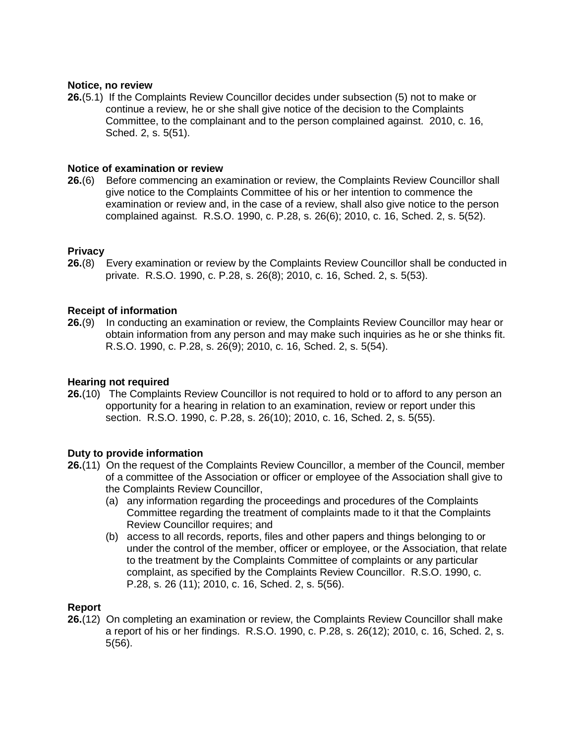### **Notice, no review**

**26.**(5.1) If the Complaints Review Councillor decides under subsection (5) not to make or continue a review, he or she shall give notice of the decision to the Complaints Committee, to the complainant and to the person complained against. 2010, c. 16, Sched. 2, s. 5(51).

### **Notice of examination or review**

**26.**[\(6\)](http://www.e-laws.gov.on.ca/html/statutes/french/elaws_statutes_90p28_f.htm#s26s6) Before commencing an examination or review, the Complaints Review Councillor shall give notice to the Complaints Committee of his or her intention to commence the examination or review and, in the case of a review, shall also give notice to the person complained against. R.S.O. 1990, c. P.28, s. 26(6); 2010, c. 16, Sched. 2, s. 5(52).

### **Privacy**

**26.**[\(8\)](http://www.e-laws.gov.on.ca/html/statutes/french/elaws_statutes_90p28_f.htm#s26s8) Every examination or review by the Complaints Review Councillor shall be conducted in private. R.S.O. 1990, c. P.28, s. 26(8); 2010, c. 16, Sched. 2, s. 5(53).

### **Receipt of information**

**26.**[\(9\)](http://www.e-laws.gov.on.ca/html/statutes/french/elaws_statutes_90p28_f.htm#s26s9) In conducting an examination or review, the Complaints Review Councillor may hear or obtain information from any person and may make such inquiries as he or she thinks fit. R.S.O. 1990, c. P.28, s. 26(9); 2010, c. 16, Sched. 2, s. 5(54).

# **Hearing not required**

**26.**[\(10\)](http://www.e-laws.gov.on.ca/html/statutes/french/elaws_statutes_90p28_f.htm#s26s10) The Complaints Review Councillor is not required to hold or to afford to any person an opportunity for a hearing in relation to an examination, review or report under this section. R.S.O. 1990, c. P.28, s. 26(10); 2010, c. 16, Sched. 2, s. 5(55).

#### **Duty to provide information**

- **26.**[\(11\)](http://www.e-laws.gov.on.ca/html/statutes/french/elaws_statutes_90p28_f.htm#s26s11) On the request of the Complaints Review Councillor, a member of the Council, member of a committee of the Association or officer or employee of the Association shall give to the Complaints Review Councillor,
	- (a) any information regarding the proceedings and procedures of the Complaints Committee regarding the treatment of complaints made to it that the Complaints Review Councillor requires; and
	- (b) access to all records, reports, files and other papers and things belonging to or under the control of the member, officer or employee, or the Association, that relate to the treatment by the Complaints Committee of complaints or any particular complaint, as specified by the Complaints Review Councillor. R.S.O. 1990, c. P.28, s. 26 (11); 2010, c. 16, Sched. 2, s. 5(56).

# **Report**

**26.**[\(12\)](http://www.e-laws.gov.on.ca/html/statutes/french/elaws_statutes_90p28_f.htm#s26s12) On completing an examination or review, the Complaints Review Councillor shall make a report of his or her findings. R.S.O. 1990, c. P.28, s. 26(12); 2010, c. 16, Sched. 2, s. 5(56).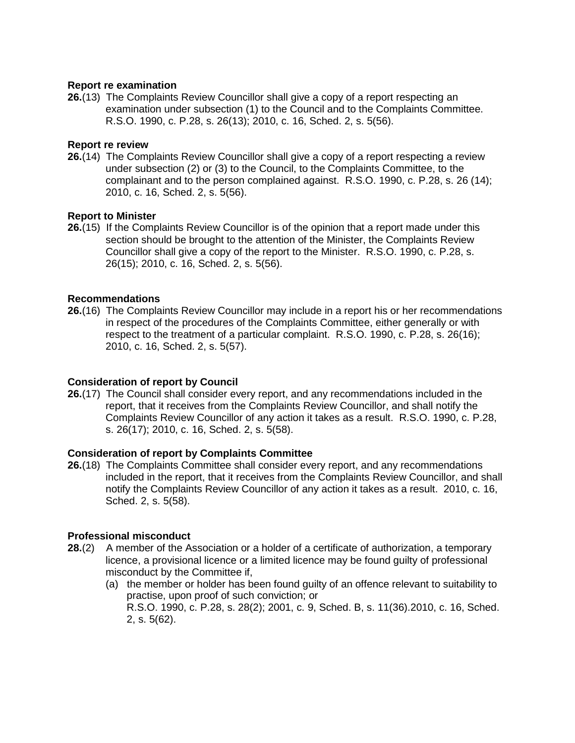### **Report re examination**

**26.**[\(13\)](http://www.e-laws.gov.on.ca/html/statutes/french/elaws_statutes_90p28_f.htm#s26s13) The Complaints Review Councillor shall give a copy of a report respecting an examination under subsection (1) to the Council and to the Complaints Committee. R.S.O. 1990, c. P.28, s. 26(13); 2010, c. 16, Sched. 2, s. 5(56).

### **Report re review**

**26.**[\(14\)](http://www.e-laws.gov.on.ca/html/statutes/french/elaws_statutes_90p28_f.htm#s26s14) The Complaints Review Councillor shall give a copy of a report respecting a review under subsection (2) or (3) to the Council, to the Complaints Committee, to the complainant and to the person complained against. R.S.O. 1990, c. P.28, s. 26 (14); 2010, c. 16, Sched. 2, s. 5(56).

### **Report to Minister**

**26.**[\(15\)](http://www.e-laws.gov.on.ca/html/statutes/french/elaws_statutes_90p28_f.htm#s26s15) If the Complaints Review Councillor is of the opinion that a report made under this section should be brought to the attention of the Minister, the Complaints Review Councillor shall give a copy of the report to the Minister. R.S.O. 1990, c. P.28, s. 26(15); 2010, c. 16, Sched. 2, s. 5(56).

### **Recommendations**

**26.**[\(16\)](http://www.e-laws.gov.on.ca/html/statutes/french/elaws_statutes_90p28_f.htm#s26s16) The Complaints Review Councillor may include in a report his or her recommendations in respect of the procedures of the Complaints Committee, either generally or with respect to the treatment of a particular complaint. R.S.O. 1990, c. P.28, s. 26(16); 2010, c. 16, Sched. 2, s. 5(57).

# **Consideration of report by Council**

**26.**[\(17\)](http://www.e-laws.gov.on.ca/html/statutes/french/elaws_statutes_90p28_f.htm#s26s17) The Council shall consider every report, and any recommendations included in the report, that it receives from the Complaints Review Councillor, and shall notify the Complaints Review Councillor of any action it takes as a result. R.S.O. 1990, c. P.28, s. 26(17); 2010, c. 16, Sched. 2, s. 5(58).

# **Consideration of report by Complaints Committee**

**26.**(18) The Complaints Committee shall consider every report, and any recommendations included in the report, that it receives from the Complaints Review Councillor, and shall notify the Complaints Review Councillor of any action it takes as a result. 2010, c. 16, Sched. 2, s. 5(58).

# **Professional misconduct**

- **28.**[\(2\)](http://www.e-laws.gov.on.ca/html/statutes/french/elaws_statutes_90p28_f.htm#s28s2) A member of the Association or a holder of a certificate of authorization, a temporary licence, a provisional licence or a limited licence may be found guilty of professional misconduct by the Committee if,
	- (a) the member or holder has been found guilty of an offence relevant to suitability to practise, upon proof of such conviction; or R.S.O. 1990, c. P.28, s. 28(2); 2001, c. 9, Sched. B, s. 11(36).2010, c. 16, Sched. 2, s. 5(62).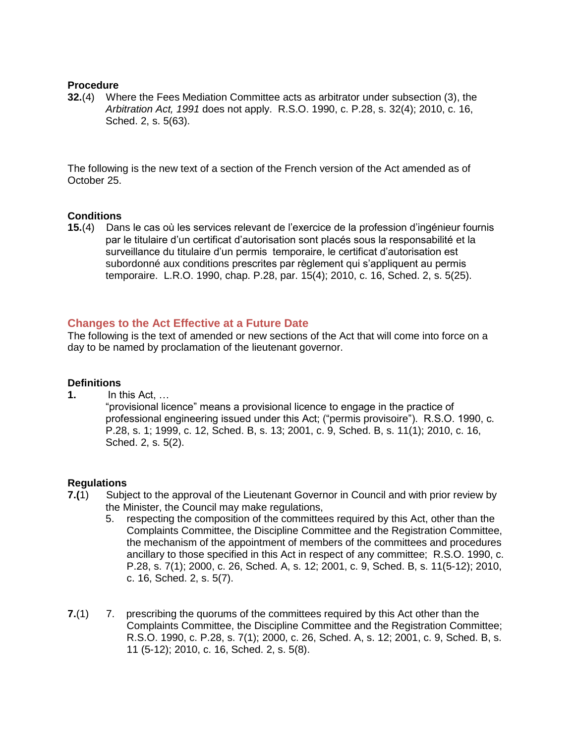### **Procedure**

**32.**[\(4\)](http://www.e-laws.gov.on.ca/html/statutes/french/elaws_statutes_90p28_f.htm#s32s4) Where the Fees Mediation Committee acts as arbitrator under subsection (3), the *Arbitration Act, 1991* does not apply. R.S.O. 1990, c. P.28, s. 32(4); 2010, c. 16, Sched. 2, s. 5(63).

The following is the new text of a section of the French version of the Act amended as of October 25.

# **Conditions**

**15.**[\(4\)](http://www.e-laws.gov.on.ca/html/statutes/english/elaws_statutes_90p28_e.htm#s15s4) Dans le cas où les services relevant de l'exercice de la profession d'ingénieur fournis par le titulaire d'un certificat d'autorisation sont placés sous la responsabilité et la surveillance du titulaire d'un permis temporaire, le certificat d'autorisation est subordonné aux conditions prescrites par règlement qui s'appliquent au permis temporaire. L.R.O. 1990, chap. P.28, par. 15(4); 2010, c. 16, Sched. 2, s. 5(25).

# **Changes to the Act Effective at a Future Date**

The following is the text of amended or new sections of the Act that will come into force on a day to be named by proclamation of the lieutenant governor.

#### **Definitions**

**[1.](http://www.e-laws.gov.on.ca/html/statutes/french/elaws_statutes_90p28_f.htm#s1)** In this Act, …

"provisional licence" means a provisional licence to engage in the practice of professional engineering issued under this Act; ("permis provisoire"). R.S.O. 1990, c. P.28, s. 1; 1999, c. 12, Sched. B, s. 13; 2001, c. 9, Sched. B, s. 11(1); 2010, c. 16, Sched. 2, s. 5(2).

#### **Regulations**

- **[7.\(](http://www.e-laws.gov.on.ca/html/statutes/french/elaws_statutes_90p28_f.htm#s7s1)**1)Subject to the approval of the Lieutenant Governor in Council and with prior review by the Minister, the Council may make regulations,
	- 5. respecting the composition of the committees required by this Act, other than the Complaints Committee, the Discipline Committee and the Registration Committee, the mechanism of the appointment of members of the committees and procedures ancillary to those specified in this Act in respect of any committee; R.S.O. 1990, c. P.28, s. 7(1); 2000, c. 26, Sched. A, s. 12; 2001, c. 9, Sched. B, s. 11(5-12); 2010, c. 16, Sched. 2, s. 5(7).
- **7.**(1) 7. prescribing the quorums of the committees required by this Act other than the Complaints Committee, the Discipline Committee and the Registration Committee; R.S.O. 1990, c. P.28, s. 7(1); 2000, c. 26, Sched. A, s. 12; 2001, c. 9, Sched. B, s. 11 (5-12); 2010, c. 16, Sched. 2, s. 5(8).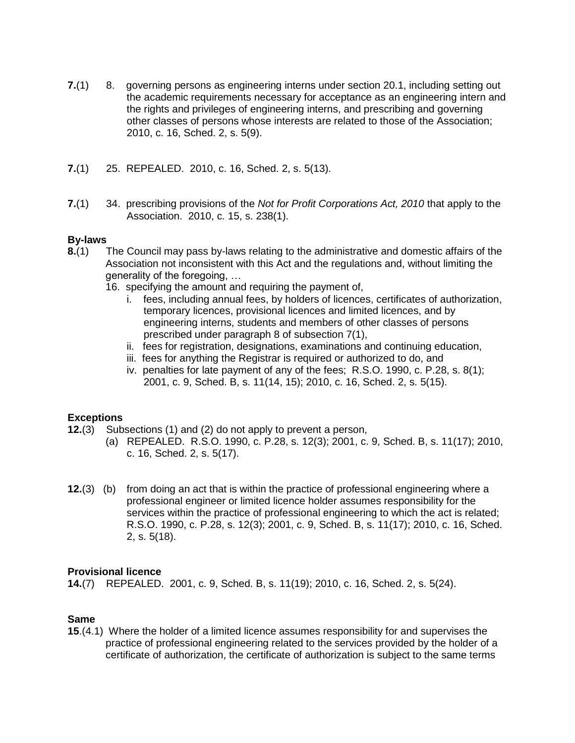- **7.**(1) 8. governing persons as engineering interns under section 20.1, including setting out the academic requirements necessary for acceptance as an engineering intern and the rights and privileges of engineering interns, and prescribing and governing other classes of persons whose interests are related to those of the Association; 2010, c. 16, Sched. 2, s. 5(9).
- **7.**(1) 25. REPEALED. 2010, c. 16, Sched. 2, s. 5(13).
- **7.**(1) 34. prescribing provisions of the *Not for Profit Corporations Act, 2010* that apply to the Association. 2010, c. 15, s. 238(1).

### **By-laws**

- **8.**[\(1\)](http://www.e-laws.gov.on.ca/html/statutes/french/elaws_statutes_90p28_f.htm#s8s1) The Council may pass by-laws relating to the administrative and domestic affairs of the Association not inconsistent with this Act and the regulations and, without limiting the generality of the foregoing, …
	- 16. specifying the amount and requiring the payment of,
		- i. fees, including annual fees, by holders of licences, certificates of authorization, temporary licences, provisional licences and limited licences, and by engineering interns, students and members of other classes of persons prescribed under paragraph 8 of subsection 7(1),
		- ii. fees for registration, designations, examinations and continuing education,
		- iii. fees for anything the Registrar is required or authorized to do, and
		- iv. penalties for late payment of any of the fees; R.S.O. 1990, c. P.28, s. 8(1); 2001, c. 9, Sched. B, s. 11(14, 15); 2010, c. 16, Sched. 2, s. 5(15).

# **Exceptions**

- **12.**[\(3\)](http://www.e-laws.gov.on.ca/html/statutes/french/elaws_statutes_90p28_f.htm#s12s3) Subsections (1) and (2) do not apply to prevent a person,
	- (a) REPEALED. R.S.O. 1990, c. P.28, s. 12(3); 2001, c. 9, Sched. B, s. 11(17); 2010, c. 16, Sched. 2, s. 5(17).
- **12.**(3) (b) from doing an act that is within the practice of professional engineering where a professional engineer or limited licence holder assumes responsibility for the services within the practice of professional engineering to which the act is related; R.S.O. 1990, c. P.28, s. 12(3); 2001, c. 9, Sched. B, s. 11(17); 2010, c. 16, Sched. 2, s. 5(18).

#### **Provisional licence**

**14.**[\(7\)](http://www.e-laws.gov.on.ca/html/statutes/french/elaws_statutes_90p28_f.htm#s14s7) REPEALED. 2001, c. 9, Sched. B, s. 11(19); 2010, c. 16, Sched. 2, s. 5(24).

# **Same**

**15**.(4.1) Where the holder of a limited licence assumes responsibility for and supervises the practice of professional engineering related to the services provided by the holder of a certificate of authorization, the certificate of authorization is subject to the same terms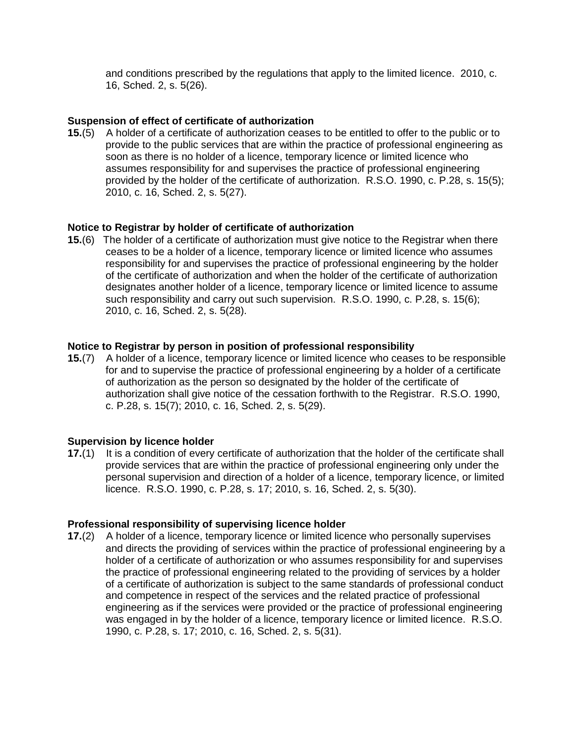and conditions prescribed by the regulations that apply to the limited licence. 2010, c. 16, Sched. 2, s. 5(26).

### **Suspension of effect of certificate of authorization**

**15.**[\(5\)](http://www.e-laws.gov.on.ca/html/statutes/french/elaws_statutes_90p28_f.htm#s15s5) A holder of a certificate of authorization ceases to be entitled to offer to the public or to provide to the public services that are within the practice of professional engineering as soon as there is no holder of a licence, temporary licence or limited licence who assumes responsibility for and supervises the practice of professional engineering provided by the holder of the certificate of authorization. R.S.O. 1990, c. P.28, s. 15(5); 2010, c. 16, Sched. 2, s. 5(27).

### **Notice to Registrar by holder of certificate of authorization**

**15.**[\(6\)](http://www.e-laws.gov.on.ca/html/statutes/french/elaws_statutes_90p28_f.htm#s15s6) The holder of a certificate of authorization must give notice to the Registrar when there ceases to be a holder of a licence, temporary licence or limited licence who assumes responsibility for and supervises the practice of professional engineering by the holder of the certificate of authorization and when the holder of the certificate of authorization designates another holder of a licence, temporary licence or limited licence to assume such responsibility and carry out such supervision. R.S.O. 1990, c. P.28, s. 15(6); 2010, c. 16, Sched. 2, s. 5(28).

### **Notice to Registrar by person in position of professional responsibility**

**15.**[\(7\)](http://www.e-laws.gov.on.ca/html/statutes/french/elaws_statutes_90p28_f.htm#s15s7) A holder of a licence, temporary licence or limited licence who ceases to be responsible for and to supervise the practice of professional engineering by a holder of a certificate of authorization as the person so designated by the holder of the certificate of authorization shall give notice of the cessation forthwith to the Registrar. R.S.O. 1990, c. P.28, s. 15(7); 2010, c. 16, Sched. 2, s. 5(29).

# **Supervision by licence holder**

**17.**[\(1\)](http://www.e-laws.gov.on.ca/html/statutes/french/elaws_statutes_90p28_f.htm#s17s1) It is a condition of every certificate of authorization that the holder of the certificate shall provide services that are within the practice of professional engineering only under the personal supervision and direction of a holder of a licence, temporary licence, or limited licence. R.S.O. 1990, c. P.28, s. 17; 2010, s. 16, Sched. 2, s. 5(30).

#### **Professional responsibility of supervising licence holder**

**17.(2)** A holder of a licence, temporary licence or limited licence who personally supervises and directs the providing of services within the practice of professional engineering by a holder of a certificate of authorization or who assumes responsibility for and supervises the practice of professional engineering related to the providing of services by a holder of a certificate of authorization is subject to the same standards of professional conduct and competence in respect of the services and the related practice of professional engineering as if the services were provided or the practice of professional engineering was engaged in by the holder of a licence, temporary licence or limited licence. R.S.O. 1990, c. P.28, s. 17; 2010, c. 16, Sched. 2, s. 5(31).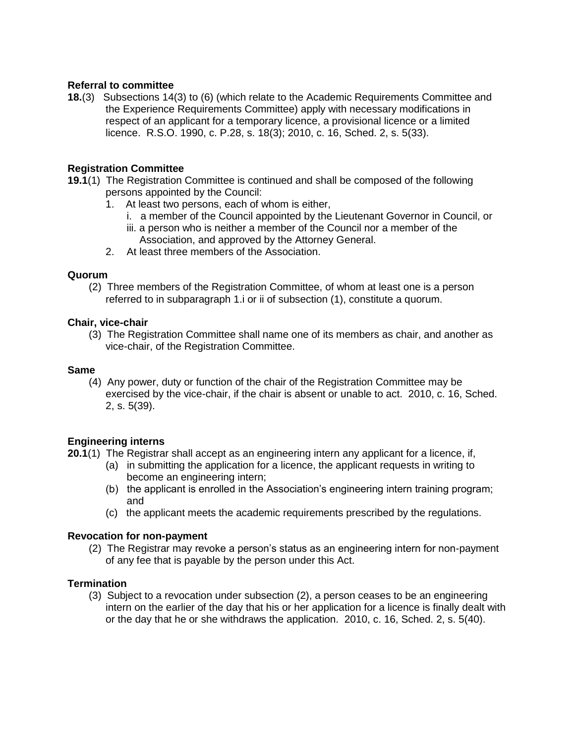# **Referral to committee**

**18.**[\(3\)](http://www.e-laws.gov.on.ca/html/statutes/french/elaws_statutes_90p28_f.htm#s18s3) Subsections 14(3) to (6) (which relate to the Academic Requirements Committee and the Experience Requirements Committee) apply with necessary modifications in respect of an applicant for a temporary licence, a provisional licence or a limited licence. R.S.O. 1990, c. P.28, s. 18(3); 2010, c. 16, Sched. 2, s. 5(33).

# **Registration Committee**

- **19.1**(1) The Registration Committee is continued and shall be composed of the following persons appointed by the Council:
	- 1. At least two persons, each of whom is either,
		- i. a member of the Council appointed by the Lieutenant Governor in Council, or
		- iii. a person who is neither a member of the Council nor a member of the Association, and approved by the Attorney General.
	- 2. At least three members of the Association.

# **Quorum**

(2) Three members of the Registration Committee, of whom at least one is a person referred to in subparagraph 1.i or ii of subsection (1), constitute a quorum.

### **Chair, vice-chair**

(3) The Registration Committee shall name one of its members as chair, and another as vice-chair, of the Registration Committee.

### **Same**

(4) Any power, duty or function of the chair of the Registration Committee may be exercised by the vice-chair, if the chair is absent or unable to act. 2010, c. 16, Sched. 2, s. 5(39).

# **Engineering interns**

- **20.1**(1) The Registrar shall accept as an engineering intern any applicant for a licence, if,
	- (a) in submitting the application for a licence, the applicant requests in writing to become an engineering intern;
	- (b) the applicant is enrolled in the Association's engineering intern training program; and
	- (c) the applicant meets the academic requirements prescribed by the regulations.

# **Revocation for non-payment**

(2) The Registrar may revoke a person's status as an engineering intern for non-payment of any fee that is payable by the person under this Act.

# **Termination**

(3) Subject to a revocation under subsection (2), a person ceases to be an engineering intern on the earlier of the day that his or her application for a licence is finally dealt with or the day that he or she withdraws the application. 2010, c. 16, Sched. 2, s. 5(40).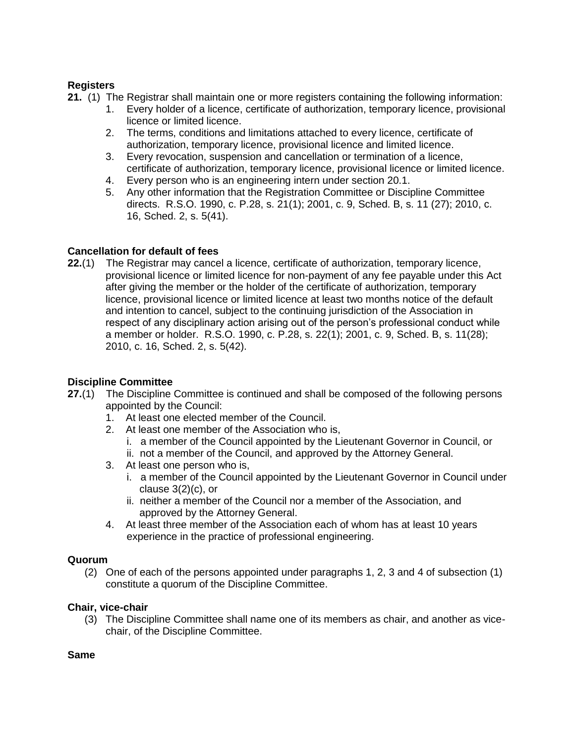# **Registers**

**[21.](http://www.e-laws.gov.on.ca/html/statutes/french/elaws_statutes_90p28_f.htm#s21s1)** (1) The Registrar shall maintain one or more registers containing the following information:

- 1. Every holder of a licence, certificate of authorization, temporary licence, provisional licence or limited licence.
- 2. The terms, conditions and limitations attached to every licence, certificate of authorization, temporary licence, provisional licence and limited licence.
- 3. Every revocation, suspension and cancellation or termination of a licence, certificate of authorization, temporary licence, provisional licence or limited licence.
- 4. Every person who is an engineering intern under section 20.1.
- 5. Any other information that the Registration Committee or Discipline Committee directs. R.S.O. 1990, c. P.28, s. 21(1); 2001, c. 9, Sched. B, s. 11 (27); 2010, c. 16, Sched. 2, s. 5(41).

# **Cancellation for default of fees**

**22.**[\(1\)](http://www.e-laws.gov.on.ca/html/statutes/french/elaws_statutes_90p28_f.htm#s22s1) The Registrar may cancel a licence, certificate of authorization, temporary licence, provisional licence or limited licence for non-payment of any fee payable under this Act after giving the member or the holder of the certificate of authorization, temporary licence, provisional licence or limited licence at least two months notice of the default and intention to cancel, subject to the continuing jurisdiction of the Association in respect of any disciplinary action arising out of the person's professional conduct while a member or holder. R.S.O. 1990, c. P.28, s. 22(1); 2001, c. 9, Sched. B, s. 11(28); 2010, c. 16, Sched. 2, s. 5(42).

# **Discipline Committee**

- **27.**(1) The Discipline Committee is continued and shall be composed of the following persons appointed by the Council:
	- 1. At least one elected member of the Council.
	- 2. At least one member of the Association who is,
		- i. a member of the Council appointed by the Lieutenant Governor in Council, or
		- ii. not a member of the Council, and approved by the Attorney General.
	- 3. At least one person who is,
		- i. a member of the Council appointed by the Lieutenant Governor in Council under clause 3(2)(c), or
		- ii. neither a member of the Council nor a member of the Association, and approved by the Attorney General.
	- 4. At least three member of the Association each of whom has at least 10 years experience in the practice of professional engineering.

# **Quorum**

(2) One of each of the persons appointed under paragraphs 1, 2, 3 and 4 of subsection (1) constitute a quorum of the Discipline Committee.

# **Chair, vice-chair**

(3) The Discipline Committee shall name one of its members as chair, and another as vicechair, of the Discipline Committee.

# **Same**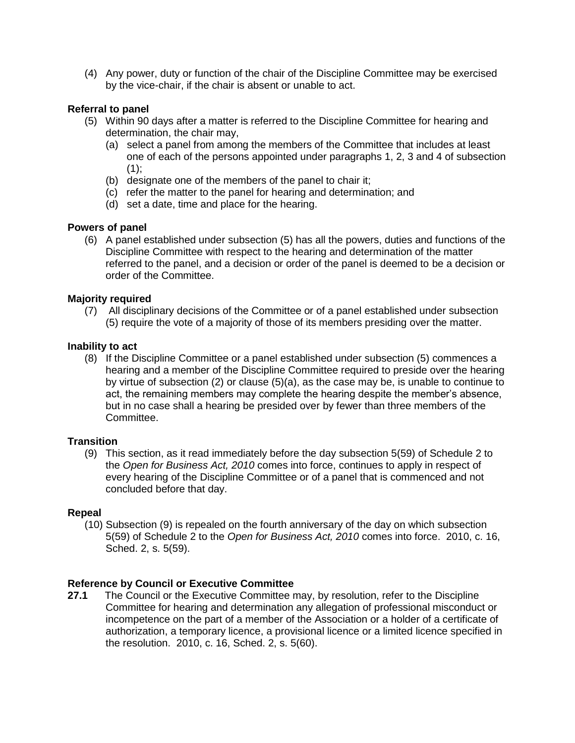(4) Any power, duty or function of the chair of the Discipline Committee may be exercised by the vice-chair, if the chair is absent or unable to act.

### **Referral to panel**

- (5) Within 90 days after a matter is referred to the Discipline Committee for hearing and determination, the chair may,
	- (a) select a panel from among the members of the Committee that includes at least one of each of the persons appointed under paragraphs 1, 2, 3 and 4 of subsection  $(1);$
	- (b) designate one of the members of the panel to chair it;
	- (c) refer the matter to the panel for hearing and determination; and
	- (d) set a date, time and place for the hearing.

### **Powers of panel**

(6) A panel established under subsection (5) has all the powers, duties and functions of the Discipline Committee with respect to the hearing and determination of the matter referred to the panel, and a decision or order of the panel is deemed to be a decision or order of the Committee.

### **Majority required**

(7) All disciplinary decisions of the Committee or of a panel established under subsection (5) require the vote of a majority of those of its members presiding over the matter.

#### **Inability to act**

(8) If the Discipline Committee or a panel established under subsection (5) commences a hearing and a member of the Discipline Committee required to preside over the hearing by virtue of subsection (2) or clause (5)(a), as the case may be, is unable to continue to act, the remaining members may complete the hearing despite the member's absence, but in no case shall a hearing be presided over by fewer than three members of the Committee.

#### **Transition**

(9) This section, as it read immediately before the day subsection 5(59) of Schedule 2 to the *Open for Business Act, 2010* comes into force, continues to apply in respect of every hearing of the Discipline Committee or of a panel that is commenced and not concluded before that day.

#### **Repeal**

(10) Subsection (9) is repealed on the fourth anniversary of the day on which subsection 5(59) of Schedule 2 to the *Open for Business Act, 2010* comes into force. 2010, c. 16, Sched. 2, s. 5(59).

#### **Reference by Council or Executive Committee**

**27.1** The Council or the Executive Committee may, by resolution, refer to the Discipline Committee for hearing and determination any allegation of professional misconduct or incompetence on the part of a member of the Association or a holder of a certificate of authorization, a temporary licence, a provisional licence or a limited licence specified in the resolution. 2010, c. 16, Sched. 2, s. 5(60).